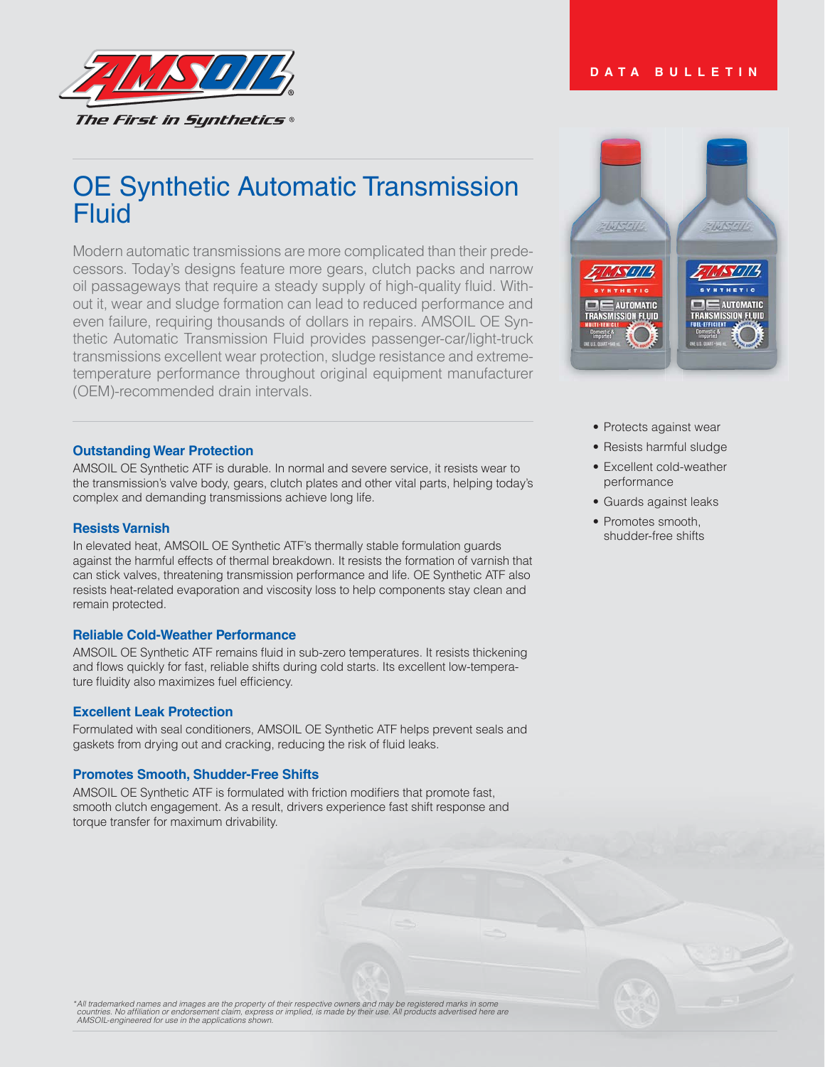

## **DATA BULLETIN**

# OE Synthetic Automatic Transmission Fluid

Modern automatic transmissions are more complicated than their predecessors. Today's designs feature more gears, clutch packs and narrow oil passageways that require a steady supply of high-quality fluid. Without it, wear and sludge formation can lead to reduced performance and even failure, requiring thousands of dollars in repairs. AMSOIL OE Synthetic Automatic Transmission Fluid provides passenger-car/light-truck transmissions excellent wear protection, sludge resistance and extremetemperature performance throughout original equipment manufacturer (OEM)-recommended drain intervals.

### **Outstanding Wear Protection**

AMSOIL OE Synthetic ATF is durable. In normal and severe service, it resists wear to the transmission's valve body, gears, clutch plates and other vital parts, helping today's complex and demanding transmissions achieve long life.

#### **Resists Varnish**

In elevated heat, AMSOIL OE Synthetic ATF's thermally stable formulation guards against the harmful effects of thermal breakdown. It resists the formation of varnish that can stick valves, threatening transmission performance and life. OE Synthetic ATF also resists heat-related evaporation and viscosity loss to help components stay clean and remain protected.

## **Reliable Cold-Weather Performance**

AMSOIL OE Synthetic ATF remains fluid in sub-zero temperatures. It resists thickening and flows quickly for fast, reliable shifts during cold starts. Its excellent low-temperature fluidity also maximizes fuel efficiency.

### **Excellent Leak Protection**

Formulated with seal conditioners, AMSOIL OE Synthetic ATF helps prevent seals and gaskets from drying out and cracking, reducing the risk of fluid leaks.

#### **Promotes Smooth, Shudder-Free Shifts**

AMSOIL OE Synthetic ATF is formulated with friction modifiers that promote fast, smooth clutch engagement. As a result, drivers experience fast shift response and torque transfer for maximum drivability.





- Protects against wear
- Resists harmful sludge
- Excellent cold-weather performance
- Guards against leaks
- Promotes smooth, shudder-free shifts